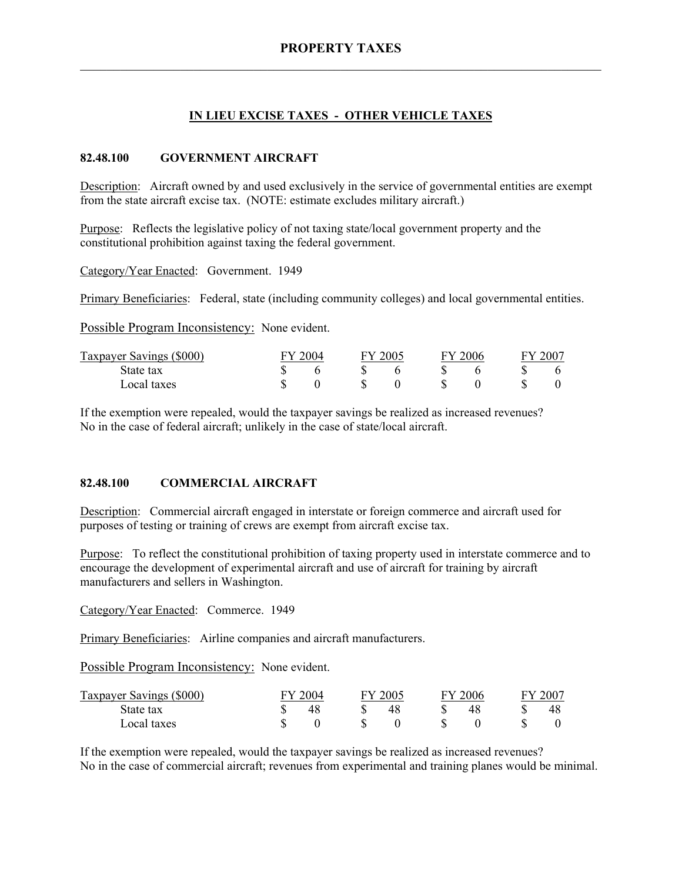# **IN LIEU EXCISE TAXES - OTHER VEHICLE TAXES**

# **82.48.100 GOVERNMENT AIRCRAFT**

Description: Aircraft owned by and used exclusively in the service of governmental entities are exempt from the state aircraft excise tax. (NOTE: estimate excludes military aircraft.)

Purpose: Reflects the legislative policy of not taxing state/local government property and the constitutional prohibition against taxing the federal government.

Category/Year Enacted: Government. 1949

Primary Beneficiaries: Federal, state (including community colleges) and local governmental entities.

Possible Program Inconsistency: None evident.

| Taxpayer Savings (\$000) | 2004 |  | FY 2005 |  | 2006<br>- FV |  | $-200^{-}$ |  |
|--------------------------|------|--|---------|--|--------------|--|------------|--|
| State tax                |      |  |         |  |              |  |            |  |
| Local taxes              |      |  |         |  |              |  |            |  |

If the exemption were repealed, would the taxpayer savings be realized as increased revenues? No in the case of federal aircraft; unlikely in the case of state/local aircraft.

## **82.48.100 COMMERCIAL AIRCRAFT**

Description: Commercial aircraft engaged in interstate or foreign commerce and aircraft used for purposes of testing or training of crews are exempt from aircraft excise tax.

Purpose: To reflect the constitutional prohibition of taxing property used in interstate commerce and to encourage the development of experimental aircraft and use of aircraft for training by aircraft manufacturers and sellers in Washington.

Category/Year Enacted: Commerce. 1949

Primary Beneficiaries: Airline companies and aircraft manufacturers.

Possible Program Inconsistency: None evident.

| Taxpayer Savings (\$000) | 2004 |  | 2005 |  | 12006 |  | $200^{-}$ |  |
|--------------------------|------|--|------|--|-------|--|-----------|--|
| State tax                |      |  | 48   |  |       |  |           |  |
| Local taxes              |      |  |      |  |       |  |           |  |

If the exemption were repealed, would the taxpayer savings be realized as increased revenues? No in the case of commercial aircraft; revenues from experimental and training planes would be minimal.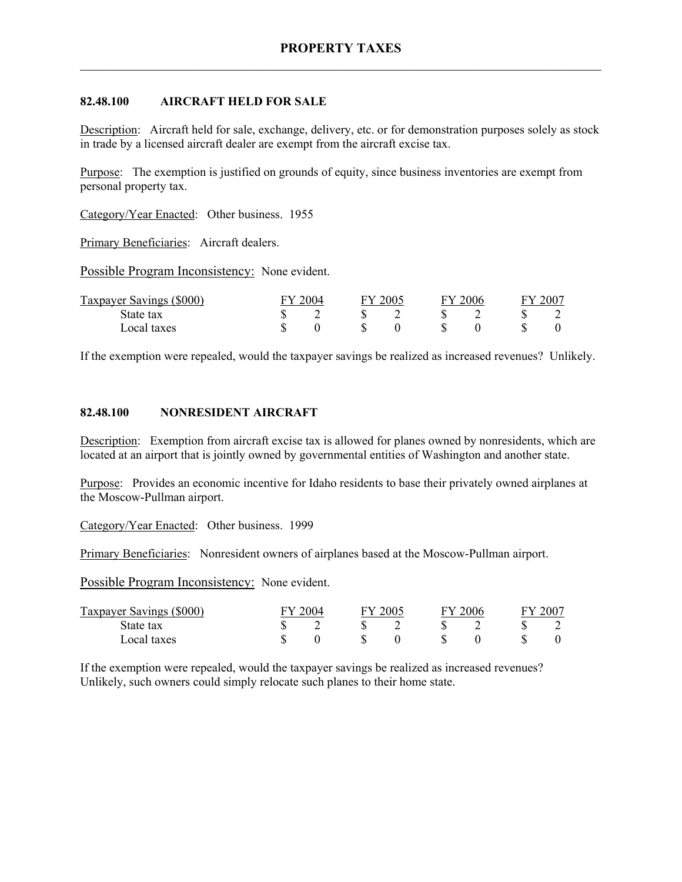# **82.48.100 AIRCRAFT HELD FOR SALE**

Description: Aircraft held for sale, exchange, delivery, etc. or for demonstration purposes solely as stock in trade by a licensed aircraft dealer are exempt from the aircraft excise tax.

Purpose: The exemption is justified on grounds of equity, since business inventories are exempt from personal property tax.

Category/Year Enacted: Other business. 1955

Primary Beneficiaries: Aircraft dealers.

Possible Program Inconsistency: None evident.

| Taxpayer Savings (\$000) | 2004 |  | 2005 |  | 2006 |  | 2007 |  |
|--------------------------|------|--|------|--|------|--|------|--|
| State tax                |      |  |      |  |      |  |      |  |
| Local taxes              |      |  |      |  |      |  |      |  |

If the exemption were repealed, would the taxpayer savings be realized as increased revenues? Unlikely.

# **82.48.100 NONRESIDENT AIRCRAFT**

Description: Exemption from aircraft excise tax is allowed for planes owned by nonresidents, which are located at an airport that is jointly owned by governmental entities of Washington and another state.

Purpose: Provides an economic incentive for Idaho residents to base their privately owned airplanes at the Moscow-Pullman airport.

Category/Year Enacted: Other business. 1999

Primary Beneficiaries: Nonresident owners of airplanes based at the Moscow-Pullman airport.

Possible Program Inconsistency: None evident.

| Taxpayer Savings (\$000) | 2004 |   | 12005 |  | $\degree$ 2006 |  | 2007 |  |
|--------------------------|------|---|-------|--|----------------|--|------|--|
| State tax                |      | - |       |  |                |  |      |  |
| Local taxes              |      |   |       |  |                |  |      |  |

If the exemption were repealed, would the taxpayer savings be realized as increased revenues? Unlikely, such owners could simply relocate such planes to their home state.